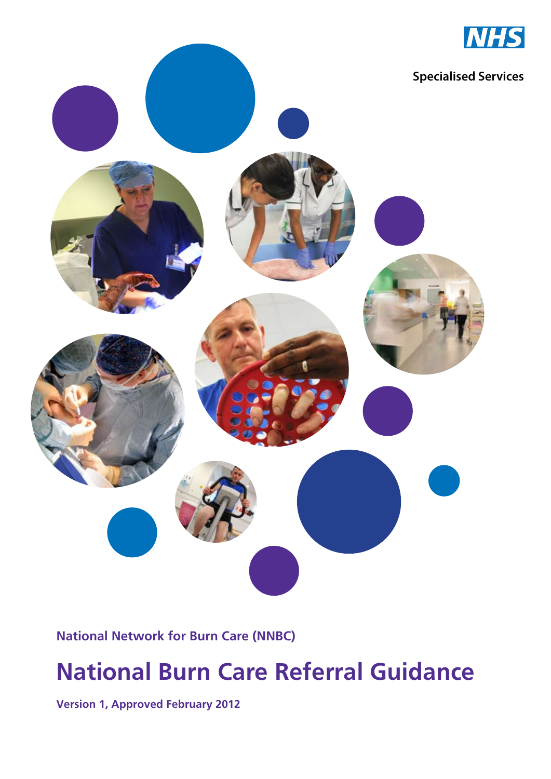

#### **National Network for Burn Care (NNBC)**

# **National Burn Care Referral Guidance**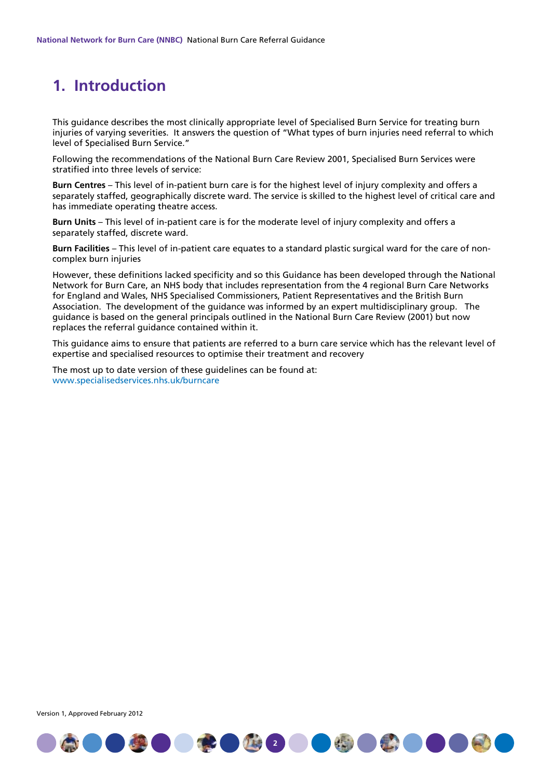# **1. Introduction**

This guidance describes the most clinically appropriate level of Specialised Burn Service for treating burn injuries of varying severities. It answers the question of "What types of burn injuries need referral to which level of Specialised Burn Service."

Following the recommendations of the National Burn Care Review 2001, Specialised Burn Services were stratified into three levels of service:

**Burn Centres** – This level of in-patient burn care is for the highest level of injury complexity and offers a separately staffed, geographically discrete ward. The service is skilled to the highest level of critical care and has immediate operating theatre access.

**Burn Units** – This level of in-patient care is for the moderate level of injury complexity and offers a separately staffed, discrete ward.

**Burn Facilities** – This level of in-patient care equates to a standard plastic surgical ward for the care of noncomplex burn injuries

However, these definitions lacked specificity and so this Guidance has been developed through the National Network for Burn Care, an NHS body that includes representation from the 4 regional Burn Care Networks for England and Wales, NHS Specialised Commissioners, Patient Representatives and the British Burn Association. The development of the guidance was informed by an expert multidisciplinary group. The guidance is based on the general principals outlined in the National Burn Care Review (2001) but now replaces the referral guidance contained within it.

This guidance aims to ensure that patients are referred to a burn care service which has the relevant level of expertise and specialised resources to optimise their treatment and recovery

●●●●●●●●●●●●●●●●●●●●●

The most up to date version of these guidelines can be found at: www.specialisedservices.nhs.uk/burncare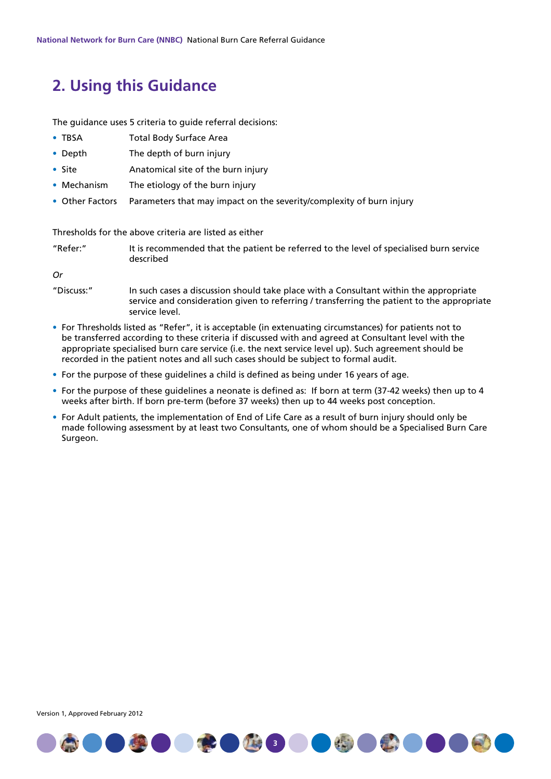### **2. Using this Guidance**

The quidance uses 5 criteria to quide referral decisions:

- TBSA Total Body Surface Area
- Depth The depth of burn injury
- Site Anatomical site of the burn injury
- Mechanism The etiology of the burn injury
- Other Factors Parameters that may impact on the severity/complexity of burn injury

Thresholds for the above criteria are listed as either

"Refer:" It is recommended that the patient be referred to the level of specialised burn service described

*Or*

- "Discuss:" In such cases a discussion should take place with a Consultant within the appropriate service and consideration given to referring / transferring the patient to the appropriate service level.
- For Thresholds listed as "Refer", it is acceptable (in extenuating circumstances) for patients not to be transferred according to these criteria if discussed with and agreed at Consultant level with the appropriate specialised burn care service (i.e. the next service level up). Such agreement should be recorded in the patient notes and all such cases should be subject to formal audit.
- For the purpose of these guidelines a child is defined as being under 16 years of age.
- For the purpose of these guidelines a neonate is defined as: If born at term (37-42 weeks) then up to 4 weeks after birth. If born pre-term (before 37 weeks) then up to 44 weeks post conception.
- For Adult patients, the implementation of End of Life Care as a result of burn injury should only be made following assessment by at least two Consultants, one of whom should be a Specialised Burn Care Surgeon.



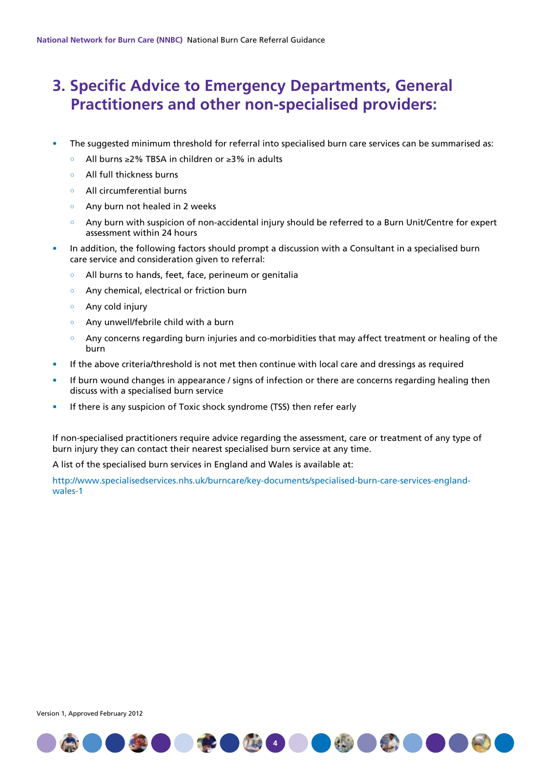## **3. Specific Advice to Emergency Departments, General Practitioners and other non-specialised providers:**

- The suggested minimum threshold for referral into specialised burn care services can be summarised as:
	- All burns ≥2% TBSA in children or ≥3% in adults  $\circ$
	- All full thickness burns
	- All circumferential burns
	- Any burn not healed in 2 weeks
	- Any burn with suspicion of non-accidental injury should be referred to a Burn Unit/Centre for expert assessment within 24 hours
- In addition, the following factors should prompt a discussion with a Consultant in a specialised burn care service and consideration given to referral:
	- All burns to hands, feet, face, perineum or genitalia
	- Any chemical, electrical or friction burn
	- Any cold injury
	- Any unwell/febrile child with a burn
	- Any concerns regarding burn injuries and co-morbidities that may affect treatment or healing of the burn
- If the above criteria/threshold is not met then continue with local care and dressings as required
- If burn wound changes in appearance / signs of infection or there are concerns regarding healing then discuss with a specialised burn service
- If there is any suspicion of Toxic shock syndrome (TSS) then refer early

If non-specialised practitioners require advice regarding the assessment, care or treatment of any type of burn injury they can contact their nearest specialised burn service at any time.

A list of the specialised burn services in England and Wales is available at:

http://www.specialisedservices.nhs.uk/burncare/key-documents/specialised-burn-care-services-englandwales-1

**1400000000000000** 

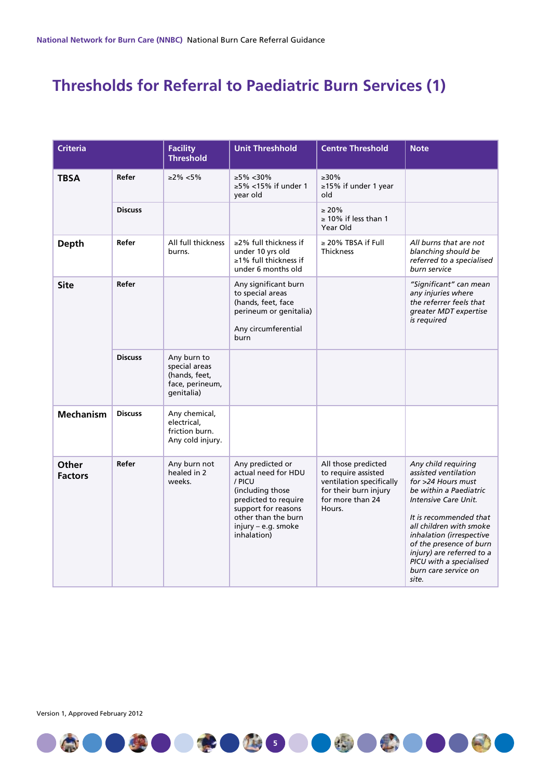# **Thresholds for Referral to Paediatric Burn Services (1)**

| <b>Criteria</b>         |                | <b>Facility</b><br>Threshold                                                   | <b>Unit Threshhold</b>                                                                                                                                                            | <b>Centre Threshold</b>                                                                                                       | <b>Note</b>                                                                                                                                                                                                                                                                                                              |
|-------------------------|----------------|--------------------------------------------------------------------------------|-----------------------------------------------------------------------------------------------------------------------------------------------------------------------------------|-------------------------------------------------------------------------------------------------------------------------------|--------------------------------------------------------------------------------------------------------------------------------------------------------------------------------------------------------------------------------------------------------------------------------------------------------------------------|
| <b>TBSA</b>             | Refer          | $\geq$ 2% <5%                                                                  | $≥5\% < 30\%$<br>$\geq$ 5% <15% if under 1<br>year old                                                                                                                            | $>30\%$<br>≥15% if under 1 year<br>old                                                                                        |                                                                                                                                                                                                                                                                                                                          |
|                         | <b>Discuss</b> |                                                                                |                                                                                                                                                                                   | $\geq 20\%$<br>$\geq$ 10% if less than 1<br>Year Old                                                                          |                                                                                                                                                                                                                                                                                                                          |
| <b>Depth</b>            | Refer          | All full thickness<br>burns.                                                   | $\geq$ 2% full thickness if<br>under 10 yrs old<br>≥1% full thickness if<br>under 6 months old                                                                                    | $\geq$ 20% TBSA if Full<br><b>Thickness</b>                                                                                   | All burns that are not<br>blanching should be<br>referred to a specialised<br>burn service                                                                                                                                                                                                                               |
| <b>Site</b>             | Refer          |                                                                                | Any significant burn<br>to special areas<br>(hands, feet, face<br>perineum or genitalia)<br>Any circumferential<br>burn                                                           |                                                                                                                               | "Significant" can mean<br>any injuries where<br>the referrer feels that<br>greater MDT expertise<br>is required                                                                                                                                                                                                          |
|                         | <b>Discuss</b> | Any burn to<br>special areas<br>(hands, feet,<br>face, perineum,<br>qenitalia) |                                                                                                                                                                                   |                                                                                                                               |                                                                                                                                                                                                                                                                                                                          |
| <b>Mechanism</b>        | <b>Discuss</b> | Any chemical,<br>electrical.<br>friction burn.<br>Any cold injury.             |                                                                                                                                                                                   |                                                                                                                               |                                                                                                                                                                                                                                                                                                                          |
| Other<br><b>Factors</b> | Refer          | Any burn not<br>healed in 2<br>weeks.                                          | Any predicted or<br>actual need for HDU<br>/ PICU<br>(including those<br>predicted to require<br>support for reasons<br>other than the burn<br>injury - e.g. smoke<br>inhalation) | All those predicted<br>to require assisted<br>ventilation specifically<br>for their burn injury<br>for more than 24<br>Hours. | Any child requiring<br>assisted ventilation<br>for >24 Hours must<br>be within a Paediatric<br>Intensive Care Unit.<br>It is recommended that<br>all children with smoke<br>inhalation (irrespective<br>of the presence of burn<br>injury) are referred to a<br>PICU with a specialised<br>burn care service on<br>site. |

**5**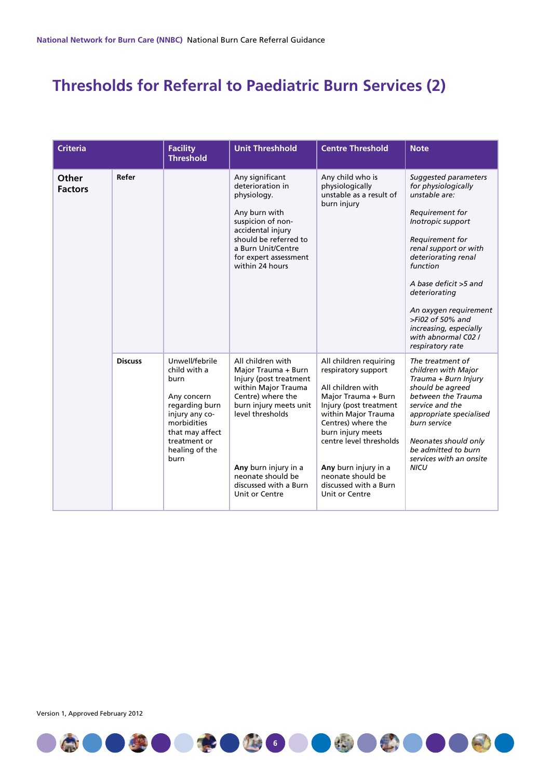# **Thresholds for Referral to Paediatric Burn Services (2)**

| <b>Criteria</b>         |                | <b>Facility</b><br><b>Threshold</b>                                                                                                                                   | <b>Unit Threshhold</b>                                                                                                                                                                                                                               | <b>Centre Threshold</b>                                                                                                                                                                                                                                                                                  | <b>Note</b>                                                                                                                                                                                                                                                                                                                                        |
|-------------------------|----------------|-----------------------------------------------------------------------------------------------------------------------------------------------------------------------|------------------------------------------------------------------------------------------------------------------------------------------------------------------------------------------------------------------------------------------------------|----------------------------------------------------------------------------------------------------------------------------------------------------------------------------------------------------------------------------------------------------------------------------------------------------------|----------------------------------------------------------------------------------------------------------------------------------------------------------------------------------------------------------------------------------------------------------------------------------------------------------------------------------------------------|
| Other<br><b>Factors</b> | Refer          |                                                                                                                                                                       | Any significant<br>deterioration in<br>physiology.<br>Any burn with<br>suspicion of non-<br>accidental injury<br>should be referred to<br>a Burn Unit/Centre<br>for expert assessment<br>within 24 hours                                             | Any child who is<br>physiologically<br>unstable as a result of<br>burn injury                                                                                                                                                                                                                            | Suggested parameters<br>for physiologically<br>unstable are:<br>Requirement for<br>Inotropic support<br>Requirement for<br>renal support or with<br>deteriorating renal<br>function<br>A base deficit >5 and<br>deteriorating<br>An oxygen requirement<br>$>$ Fi02 of 50% and<br>increasing, especially<br>with abnormal C02 /<br>respiratory rate |
|                         | <b>Discuss</b> | Unwell/febrile<br>child with a<br>burn<br>Any concern<br>regarding burn<br>injury any co-<br>morbidities<br>that may affect<br>treatment or<br>healing of the<br>burn | All children with<br>Major Trauma + Burn<br>Injury (post treatment<br>within Major Trauma<br>Centre) where the<br>burn injury meets unit<br>level thresholds<br>Any burn injury in a<br>neonate should be<br>discussed with a Burn<br>Unit or Centre | All children requiring<br>respiratory support<br>All children with<br>Major Trauma + Burn<br>Injury (post treatment<br>within Major Trauma<br>Centres) where the<br>burn injury meets<br>centre level thresholds<br>Any burn injury in a<br>neonate should be<br>discussed with a Burn<br>Unit or Centre | The treatment of<br>children with Major<br>Trauma + Burn Injury<br>should be agreed<br>between the Trauma<br>service and the<br>appropriate specialised<br>burn service<br>Neonates should only<br>be admitted to burn<br>services with an onsite<br><b>NICU</b>                                                                                   |

**6**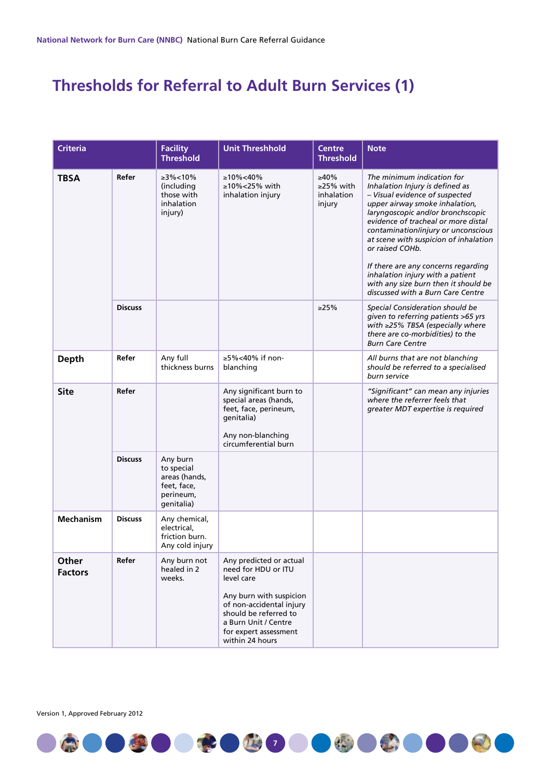# **Thresholds for Referral to Adult Burn Services (1)**

| <b>Criteria</b>         |                | <b>Facility</b><br><b>Threshold</b>                                               | <b>Unit Threshhold</b>                                                                                                                                                                                           | <b>Centre</b><br><b>Threshold</b>                  | <b>Note</b>                                                                                                                                                                                                                                                                                                                                                                                                                                                              |
|-------------------------|----------------|-----------------------------------------------------------------------------------|------------------------------------------------------------------------------------------------------------------------------------------------------------------------------------------------------------------|----------------------------------------------------|--------------------------------------------------------------------------------------------------------------------------------------------------------------------------------------------------------------------------------------------------------------------------------------------------------------------------------------------------------------------------------------------------------------------------------------------------------------------------|
| <b>TBSA</b>             | Refer          | ≥3%<10%<br>(including<br>those with<br>inhalation<br>injury)                      | $\geq 10\% < 40\%$<br>≥10%<25% with<br>inhalation injury                                                                                                                                                         | $>40\%$<br>$\geq$ 25% with<br>inhalation<br>injury | The minimum indication for<br>Inhalation Injury is defined as<br>- Visual evidence of suspected<br>upper airway smoke inhalation,<br>laryngoscopic and/or bronchscopic<br>evidence of tracheal or more distal<br>contamination/injury or unconscious<br>at scene with suspicion of inhalation<br>or raised COHb.<br>If there are any concerns regarding<br>inhalation injury with a patient<br>with any size burn then it should be<br>discussed with a Burn Care Centre |
|                         | <b>Discuss</b> |                                                                                   |                                                                                                                                                                                                                  | >25%                                               | Special Consideration should be<br>given to referring patients >65 yrs<br>with ≥25% TBSA (especially where<br>there are co-morbidities) to the<br><b>Burn Care Centre</b>                                                                                                                                                                                                                                                                                                |
| <b>Depth</b>            | Refer          | Any full<br>thickness burns                                                       | ≥5%<40% if non-<br>blanching                                                                                                                                                                                     |                                                    | All burns that are not blanching<br>should be referred to a specialised<br>burn service                                                                                                                                                                                                                                                                                                                                                                                  |
| <b>Site</b>             | Refer          |                                                                                   | Any significant burn to<br>special areas (hands,<br>feet, face, perineum,<br>genitalia)<br>Any non-blanching<br>circumferential burn                                                                             |                                                    | "Significant" can mean any injuries<br>where the referrer feels that<br>greater MDT expertise is required                                                                                                                                                                                                                                                                                                                                                                |
|                         | <b>Discuss</b> | Any burn<br>to special<br>areas (hands,<br>feet, face,<br>perineum,<br>qenitalia) |                                                                                                                                                                                                                  |                                                    |                                                                                                                                                                                                                                                                                                                                                                                                                                                                          |
| <b>Mechanism</b>        | <b>Discuss</b> | Any chemical,<br>electrical,<br>friction burn.<br>Any cold injury                 |                                                                                                                                                                                                                  |                                                    |                                                                                                                                                                                                                                                                                                                                                                                                                                                                          |
| Other<br><b>Factors</b> | Refer          | Any burn not<br>healed in 2<br>weeks.                                             | Any predicted or actual<br>need for HDU or ITU<br>level care<br>Any burn with suspicion<br>of non-accidental injury<br>should be referred to<br>a Burn Unit / Centre<br>for expert assessment<br>within 24 hours |                                                    |                                                                                                                                                                                                                                                                                                                                                                                                                                                                          |

**7**

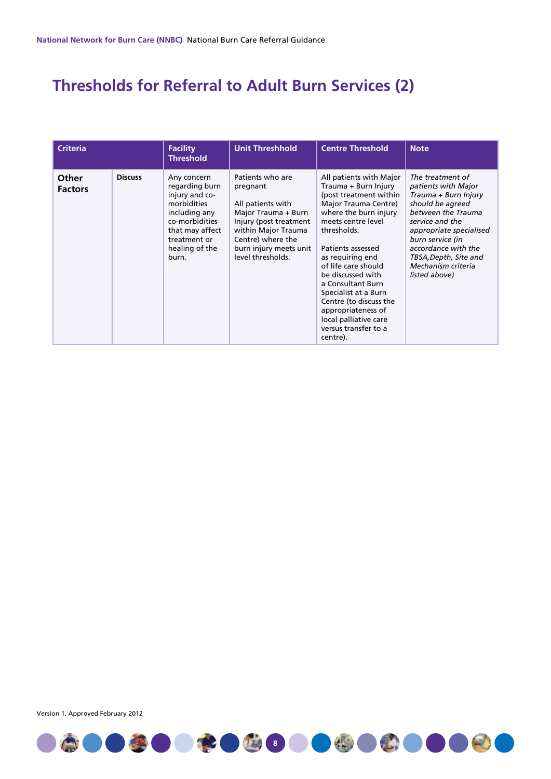# **Thresholds for Referral to Adult Burn Services (2)**

| <b>Criteria</b>         |                | <b>Facility</b><br><b>Threshold</b>                                                                                                                             | <b>Unit Threshhold</b>                                                                                                                                                                        | <b>Centre Threshold</b>                                                                                                                                                                                                                                                                                                                                                                                        | <b>Note</b>                                                                                                                                                                                                                                                        |
|-------------------------|----------------|-----------------------------------------------------------------------------------------------------------------------------------------------------------------|-----------------------------------------------------------------------------------------------------------------------------------------------------------------------------------------------|----------------------------------------------------------------------------------------------------------------------------------------------------------------------------------------------------------------------------------------------------------------------------------------------------------------------------------------------------------------------------------------------------------------|--------------------------------------------------------------------------------------------------------------------------------------------------------------------------------------------------------------------------------------------------------------------|
| Other<br><b>Factors</b> | <b>Discuss</b> | Any concern<br>regarding burn<br>injury and co-<br>morbidities<br>including any<br>co-morbidities<br>that may affect<br>treatment or<br>healing of the<br>burn. | Patients who are<br>pregnant<br>All patients with<br>Major Trauma + Burn<br>Injury (post treatment<br>within Major Trauma<br>Centre) where the<br>burn injury meets unit<br>level thresholds. | All patients with Major<br>Trauma + Burn Injury<br>(post treatment within<br>Major Trauma Centre)<br>where the burn injury<br>meets centre level<br>thresholds.<br>Patients assessed<br>as requiring end<br>of life care should<br>be discussed with<br>a Consultant Burn<br>Specialist at a Burn<br>Centre (to discuss the<br>appropriateness of<br>local palliative care<br>versus transfer to a<br>centre). | The treatment of<br>patients with Major<br>Trauma + Burn Injury<br>should be agreed<br>between the Trauma<br>service and the<br>appropriate specialised<br>burn service (in<br>accordance with the<br>TBSA, Depth, Site and<br>Mechanism criteria<br>listed above) |

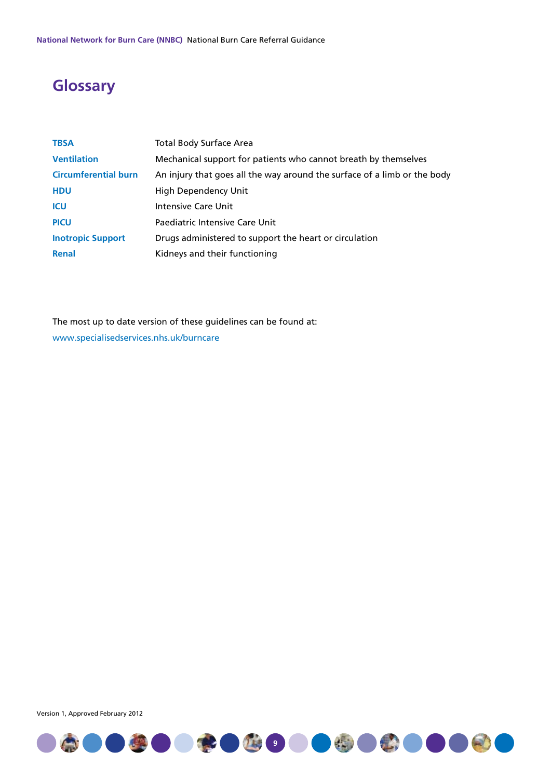# **Glossary**

| <b>TBSA</b>                 | <b>Total Body Surface Area</b>                                           |
|-----------------------------|--------------------------------------------------------------------------|
| <b>Ventilation</b>          | Mechanical support for patients who cannot breath by themselves          |
| <b>Circumferential burn</b> | An injury that goes all the way around the surface of a limb or the body |
| <b>HDU</b>                  | <b>High Dependency Unit</b>                                              |
| <b>ICU</b>                  | <b>Intensive Care Unit</b>                                               |
| <b>PICU</b>                 | Paediatric Intensive Care Unit                                           |
| <b>Inotropic Support</b>    | Drugs administered to support the heart or circulation                   |
| <b>Renal</b>                | Kidneys and their functioning                                            |

The most up to date version of these guidelines can be found at: www.specialisedservices.nhs.uk/burncare